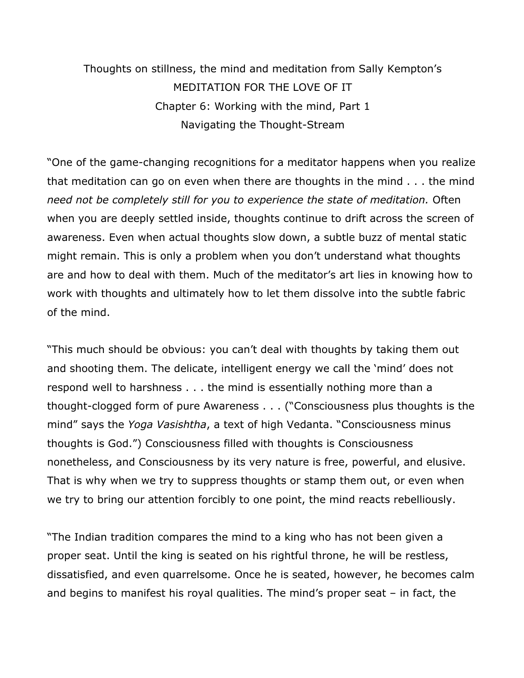Thoughts on stillness, the mind and meditation from Sally Kempton's MEDITATION FOR THE LOVE OF IT Chapter 6: Working with the mind, Part 1 Navigating the Thought-Stream

"One of the game-changing recognitions for a meditator happens when you realize that meditation can go on even when there are thoughts in the mind . . . the mind *need not be completely still for you to experience the state of meditation.* Often when you are deeply settled inside, thoughts continue to drift across the screen of awareness. Even when actual thoughts slow down, a subtle buzz of mental static might remain. This is only a problem when you don't understand what thoughts are and how to deal with them. Much of the meditator's art lies in knowing how to work with thoughts and ultimately how to let them dissolve into the subtle fabric of the mind.

"This much should be obvious: you can't deal with thoughts by taking them out and shooting them. The delicate, intelligent energy we call the 'mind' does not respond well to harshness . . . the mind is essentially nothing more than a thought-clogged form of pure Awareness . . . ("Consciousness plus thoughts is the mind" says the *Yoga Vasishtha*, a text of high Vedanta. "Consciousness minus thoughts is God.") Consciousness filled with thoughts is Consciousness nonetheless, and Consciousness by its very nature is free, powerful, and elusive. That is why when we try to suppress thoughts or stamp them out, or even when we try to bring our attention forcibly to one point, the mind reacts rebelliously.

"The Indian tradition compares the mind to a king who has not been given a proper seat. Until the king is seated on his rightful throne, he will be restless, dissatisfied, and even quarrelsome. Once he is seated, however, he becomes calm and begins to manifest his royal qualities. The mind's proper seat – in fact, the